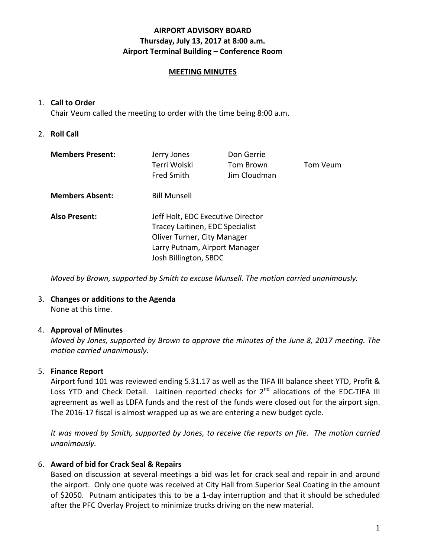### **AIRPORT ADVISORY BOARD Thursday, July 13, 2017 at 8:00 a.m. Airport Terminal Building – Conference Room**

### **MEETING MINUTES**

### 1. **Call to Order**

Chair Veum called the meeting to order with the time being 8:00 a.m.

### 2. **Roll Call**

| <b>Members Present:</b> | Jerry Jones<br>Terri Wolski<br><b>Fred Smith</b>                                                                                                              | Don Gerrie<br>Tom Brown<br>Jim Cloudman | Tom Veum |
|-------------------------|---------------------------------------------------------------------------------------------------------------------------------------------------------------|-----------------------------------------|----------|
| <b>Members Absent:</b>  | <b>Bill Munsell</b>                                                                                                                                           |                                         |          |
| <b>Also Present:</b>    | Jeff Holt, EDC Executive Director<br>Tracey Laitinen, EDC Specialist<br>Oliver Turner, City Manager<br>Larry Putnam, Airport Manager<br>Josh Billington, SBDC |                                         |          |

*Moved by Brown, supported by Smith to excuse Munsell. The motion carried unanimously.*

# 3. **Changes or additions to the Agenda**

None at this time.

## 4. **Approval of Minutes**

*Moved by Jones, supported by Brown to approve the minutes of the June 8, 2017 meeting. The motion carried unanimously.*

### 5. **Finance Report**

Airport fund 101 was reviewed ending 5.31.17 as well as the TIFA III balance sheet YTD, Profit & Loss YTD and Check Detail. Laitinen reported checks for 2<sup>nd</sup> allocations of the EDC-TIFA III agreement as well as LDFA funds and the rest of the funds were closed out for the airport sign. The 2016-17 fiscal is almost wrapped up as we are entering a new budget cycle.

*It was moved by Smith, supported by Jones, to receive the reports on file. The motion carried unanimously.*

## 6. **Award of bid for Crack Seal & Repairs**

Based on discussion at several meetings a bid was let for crack seal and repair in and around the airport. Only one quote was received at City Hall from Superior Seal Coating in the amount of \$2050. Putnam anticipates this to be a 1-day interruption and that it should be scheduled after the PFC Overlay Project to minimize trucks driving on the new material.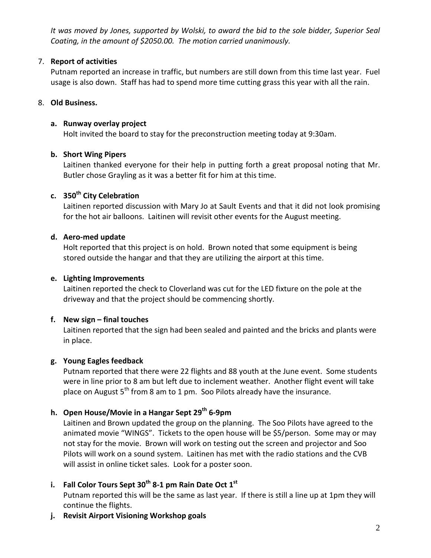*It was moved by Jones, supported by Wolski, to award the bid to the sole bidder, Superior Seal Coating, in the amount of \$2050.00. The motion carried unanimously.*

# 7. **Report of activities**

Putnam reported an increase in traffic, but numbers are still down from this time last year. Fuel usage is also down. Staff has had to spend more time cutting grass this year with all the rain.

# 8. **Old Business.**

# **a. Runway overlay project**

Holt invited the board to stay for the preconstruction meeting today at 9:30am.

# **b. Short Wing Pipers**

Laitinen thanked everyone for their help in putting forth a great proposal noting that Mr. Butler chose Grayling as it was a better fit for him at this time.

# **c. 350th City Celebration**

Laitinen reported discussion with Mary Jo at Sault Events and that it did not look promising for the hot air balloons. Laitinen will revisit other events for the August meeting.

# **d. Aero-med update**

Holt reported that this project is on hold. Brown noted that some equipment is being stored outside the hangar and that they are utilizing the airport at this time.

# **e. Lighting Improvements**

Laitinen reported the check to Cloverland was cut for the LED fixture on the pole at the driveway and that the project should be commencing shortly.

# **f. New sign – final touches**

Laitinen reported that the sign had been sealed and painted and the bricks and plants were in place.

# **g. Young Eagles feedback**

Putnam reported that there were 22 flights and 88 youth at the June event. Some students were in line prior to 8 am but left due to inclement weather. Another flight event will take place on August  $5<sup>th</sup>$  from 8 am to 1 pm. Soo Pilots already have the insurance.

# **h. Open House/Movie in a Hangar Sept 29th 6-9pm**

Laitinen and Brown updated the group on the planning. The Soo Pilots have agreed to the animated movie "WINGS". Tickets to the open house will be \$5/person. Some may or may not stay for the movie. Brown will work on testing out the screen and projector and Soo Pilots will work on a sound system. Laitinen has met with the radio stations and the CVB will assist in online ticket sales. Look for a poster soon.

# **i. Fall Color Tours Sept 30th 8-1 pm Rain Date Oct 1st**

Putnam reported this will be the same as last year. If there is still a line up at 1pm they will continue the flights.

**j. Revisit Airport Visioning Workshop goals**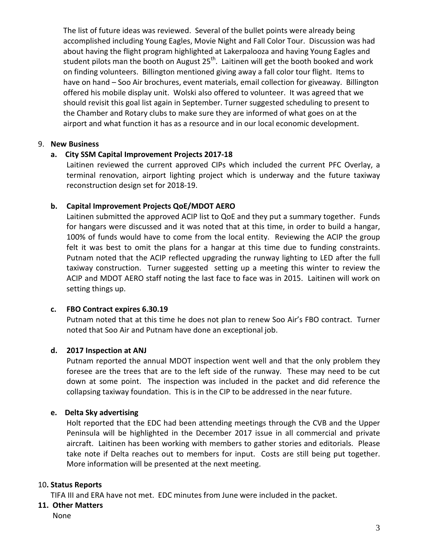The list of future ideas was reviewed. Several of the bullet points were already being accomplished including Young Eagles, Movie Night and Fall Color Tour. Discussion was had about having the flight program highlighted at Lakerpalooza and having Young Eagles and student pilots man the booth on August  $25<sup>th</sup>$ . Laitinen will get the booth booked and work on finding volunteers. Billington mentioned giving away a fall color tour flight. Items to have on hand – Soo Air brochures, event materials, email collection for giveaway. Billington offered his mobile display unit. Wolski also offered to volunteer. It was agreed that we should revisit this goal list again in September. Turner suggested scheduling to present to the Chamber and Rotary clubs to make sure they are informed of what goes on at the airport and what function it has as a resource and in our local economic development.

### 9. **New Business**

### **a. City SSM Capital Improvement Projects 2017-18**

Laitinen reviewed the current approved CIPs which included the current PFC Overlay, a terminal renovation, airport lighting project which is underway and the future taxiway reconstruction design set for 2018-19.

### **b. Capital Improvement Projects QoE/MDOT AERO**

Laitinen submitted the approved ACIP list to QoE and they put a summary together. Funds for hangars were discussed and it was noted that at this time, in order to build a hangar, 100% of funds would have to come from the local entity. Reviewing the ACIP the group felt it was best to omit the plans for a hangar at this time due to funding constraints. Putnam noted that the ACIP reflected upgrading the runway lighting to LED after the full taxiway construction. Turner suggested setting up a meeting this winter to review the ACIP and MDOT AERO staff noting the last face to face was in 2015. Laitinen will work on setting things up.

### **c. FBO Contract expires 6.30.19**

Putnam noted that at this time he does not plan to renew Soo Air's FBO contract. Turner noted that Soo Air and Putnam have done an exceptional job.

## **d. 2017 Inspection at ANJ**

Putnam reported the annual MDOT inspection went well and that the only problem they foresee are the trees that are to the left side of the runway. These may need to be cut down at some point. The inspection was included in the packet and did reference the collapsing taxiway foundation. This is in the CIP to be addressed in the near future.

### **e. Delta Sky advertising**

Holt reported that the EDC had been attending meetings through the CVB and the Upper Peninsula will be highlighted in the December 2017 issue in all commercial and private aircraft. Laitinen has been working with members to gather stories and editorials. Please take note if Delta reaches out to members for input. Costs are still being put together. More information will be presented at the next meeting.

### 10**. Status Reports**

TIFA III and ERA have not met. EDC minutes from June were included in the packet.

### **11. Other Matters**

None